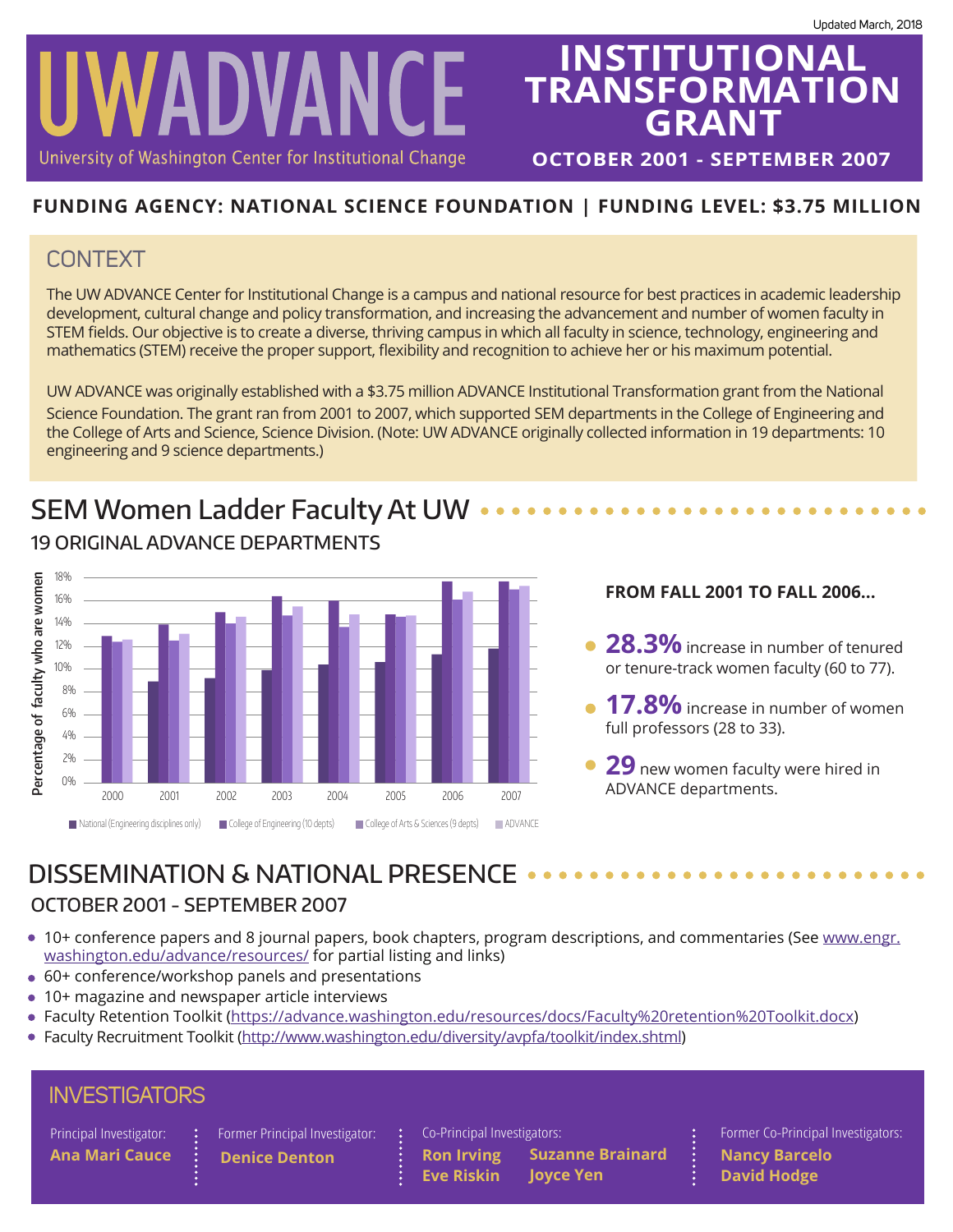

# **INSTITUTIONAL TRANSFORMATION GRANT**

**OCTOBER 2001 - SEPTEMBER 2007**

### **FUNDING AGENCY: NATIONAL SCIENCE FOUNDATION | FUNDING LEVEL: \$3.75 MILLION**

### **CONTEXT**

The UW ADVANCE Center for Institutional Change is a campus and national resource for best practices in academic leadership development, cultural change and policy transformation, and increasing the advancement and number of women faculty in STEM fields. Our objective is to create a diverse, thriving campus in which all faculty in science, technology, engineering and mathematics (STEM) receive the proper support, flexibility and recognition to achieve her or his maximum potential.

UW ADVANCE was originally established with a \$3.75 million ADVANCE Institutional Transformation grant from the National Science Foundation. The grant ran from 2001 to 2007, which supported SEM departments in the College of Engineering and the College of Arts and Science, Science Division. (Note: UW ADVANCE originally collected information in 19 departments: 10 engineering and 9 science departments.)

# SEM Women Ladder Faculty At UW ..



### 19 ORIGINAL ADVANCE DEPARTMENTS

#### **FROM FALL 2001 TO FALL 2006...**

- **28.3%** increase in number of tenured or tenure-track women faculty (60 to 77).
- **17.8%** increase in number of women full professors (28 to 33).
- **29** new women faculty were hired in

## DISSEMINATION & NATIONAL PRESENCE ..

### OCTOBER 2001 - SEPTEMBER 2007

• 10+ conference papers and 8 journal papers, book chapters, program descriptions, and commentaries (See [www.engr.](http://www.engr.washington.edu/advance/resources/%23other_resources) [washington.edu/advance/resources/](http://www.engr.washington.edu/advance/resources/%23other_resources) for partial listing and links)

**Eve Riskin**

- 60+ conference/workshop panels and presentations
- 10+ magazine and newspaper article interviews
- Faculty Retention Toolkit (https://advance.washington.edu/resources/docs/Faculty%20retention%20Toolkit.docx)
- Faculty Recruitment Toolkit (<http://www.washington.edu/diversity/avpfa/toolkit/index.shtml>)

| <b>INVESTIGATORS</b>    |  |                                                       |  |                             |
|-------------------------|--|-------------------------------------------------------|--|-----------------------------|
| Principal Investigator: |  | $\left  \cdot \right $ Former Principal Investigator: |  | Co-Principal Investigators: |

**Denice Denton Ron Irving**

**Ana Mari Cauce Suzanne Brainard Joyce Yen**

Former Co-Principal Investigators: **Nancy Barcelo David Hodge**